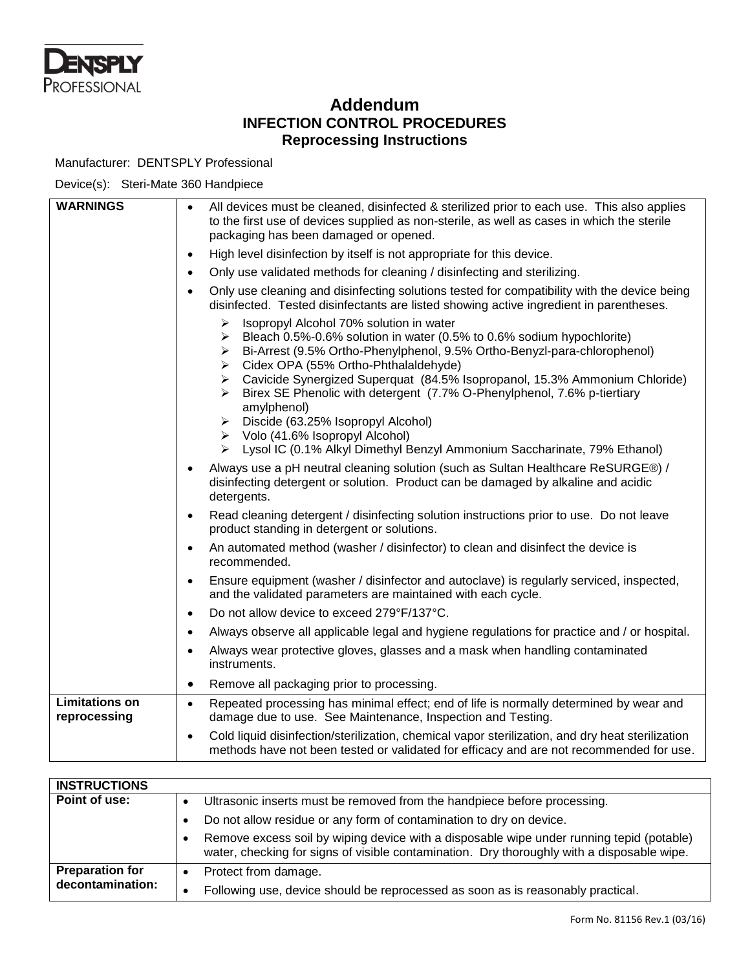

## **Addendum INFECTION CONTROL PROCEDURES Reprocessing Instructions**

Manufacturer: DENTSPLY Professional

Device(s): Steri-Mate 360 Handpiece

| <b>WARNINGS</b>                       | All devices must be cleaned, disinfected & sterilized prior to each use. This also applies<br>$\bullet$<br>to the first use of devices supplied as non-sterile, as well as cases in which the sterile<br>packaging has been damaged or opened.                                                                                                                                                                                                                 |
|---------------------------------------|----------------------------------------------------------------------------------------------------------------------------------------------------------------------------------------------------------------------------------------------------------------------------------------------------------------------------------------------------------------------------------------------------------------------------------------------------------------|
|                                       | High level disinfection by itself is not appropriate for this device.<br>$\bullet$                                                                                                                                                                                                                                                                                                                                                                             |
|                                       | Only use validated methods for cleaning / disinfecting and sterilizing.<br>$\bullet$                                                                                                                                                                                                                                                                                                                                                                           |
|                                       | Only use cleaning and disinfecting solutions tested for compatibility with the device being<br>$\bullet$<br>disinfected. Tested disinfectants are listed showing active ingredient in parentheses.                                                                                                                                                                                                                                                             |
|                                       | Isopropyl Alcohol 70% solution in water<br>➤<br>Bleach 0.5%-0.6% solution in water (0.5% to 0.6% sodium hypochlorite)<br>≻<br>Bi-Arrest (9.5% Ortho-Phenylphenol, 9.5% Ortho-Benyzl-para-chlorophenol)<br>$\blacktriangleright$<br>Cidex OPA (55% Ortho-Phthalaldehyde)<br>➤<br>Cavicide Synergized Superquat (84.5% Isopropanol, 15.3% Ammonium Chloride)<br>➤<br>Birex SE Phenolic with detergent (7.7% O-Phenylphenol, 7.6% p-tiertiary<br>➤<br>amylphenol) |
|                                       | $\triangleright$ Discide (63.25% Isopropyl Alcohol)<br>$\triangleright$ Volo (41.6% Isopropyl Alcohol)<br>Lysol IC (0.1% Alkyl Dimethyl Benzyl Ammonium Saccharinate, 79% Ethanol)<br>➤                                                                                                                                                                                                                                                                        |
|                                       | Always use a pH neutral cleaning solution (such as Sultan Healthcare ReSURGE®) /<br>$\bullet$<br>disinfecting detergent or solution. Product can be damaged by alkaline and acidic<br>detergents.                                                                                                                                                                                                                                                              |
|                                       | Read cleaning detergent / disinfecting solution instructions prior to use. Do not leave<br>$\bullet$<br>product standing in detergent or solutions.                                                                                                                                                                                                                                                                                                            |
|                                       | An automated method (washer / disinfector) to clean and disinfect the device is<br>$\bullet$<br>recommended.                                                                                                                                                                                                                                                                                                                                                   |
|                                       | Ensure equipment (washer / disinfector and autoclave) is regularly serviced, inspected,<br>$\bullet$<br>and the validated parameters are maintained with each cycle.                                                                                                                                                                                                                                                                                           |
|                                       | Do not allow device to exceed 279°F/137°C.<br>$\bullet$                                                                                                                                                                                                                                                                                                                                                                                                        |
|                                       | Always observe all applicable legal and hygiene regulations for practice and / or hospital.<br>$\bullet$                                                                                                                                                                                                                                                                                                                                                       |
|                                       | Always wear protective gloves, glasses and a mask when handling contaminated<br>$\bullet$<br>instruments.                                                                                                                                                                                                                                                                                                                                                      |
|                                       | Remove all packaging prior to processing.<br>$\bullet$                                                                                                                                                                                                                                                                                                                                                                                                         |
| <b>Limitations on</b><br>reprocessing | Repeated processing has minimal effect; end of life is normally determined by wear and<br>$\bullet$<br>damage due to use. See Maintenance, Inspection and Testing.                                                                                                                                                                                                                                                                                             |
|                                       | Cold liquid disinfection/sterilization, chemical vapor sterilization, and dry heat sterilization<br>methods have not been tested or validated for efficacy and are not recommended for use.                                                                                                                                                                                                                                                                    |

| <b>INSTRUCTIONS</b>    |                                                                                                                                                                                        |
|------------------------|----------------------------------------------------------------------------------------------------------------------------------------------------------------------------------------|
| Point of use:          | Ultrasonic inserts must be removed from the handpiece before processing.                                                                                                               |
|                        | Do not allow residue or any form of contamination to dry on device.                                                                                                                    |
|                        | Remove excess soil by wiping device with a disposable wipe under running tepid (potable)<br>water, checking for signs of visible contamination. Dry thoroughly with a disposable wipe. |
| <b>Preparation for</b> | Protect from damage.                                                                                                                                                                   |
| decontamination:       | Following use, device should be reprocessed as soon as is reasonably practical.                                                                                                        |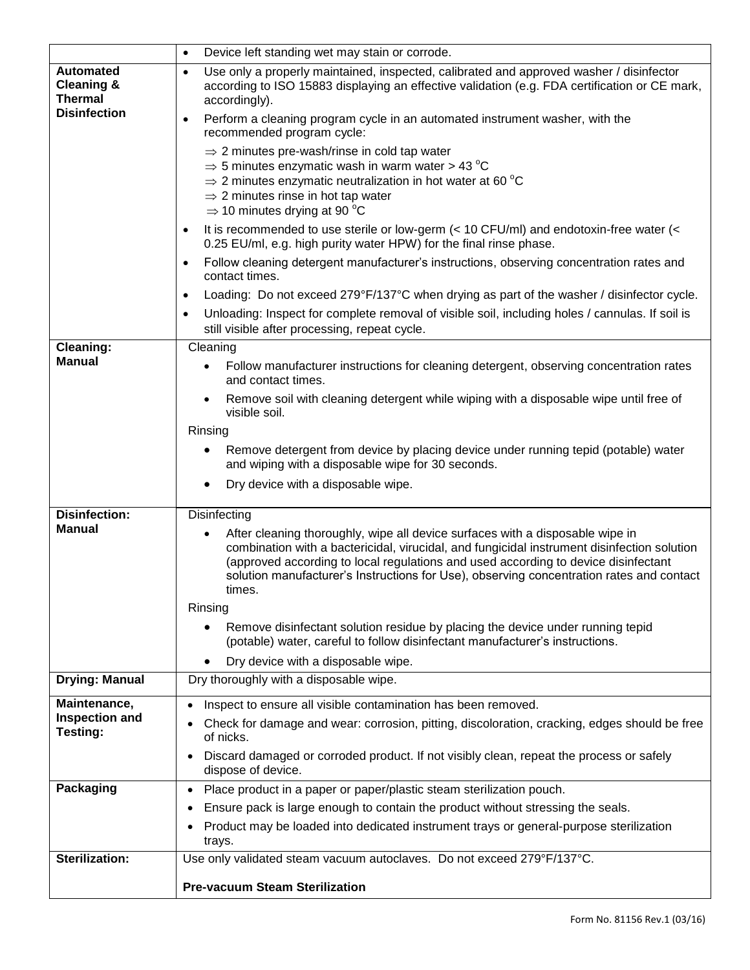|                                                                                    | Device left standing wet may stain or corrode.<br>$\bullet$                                                                                                                                                                                                                                                                                                                           |
|------------------------------------------------------------------------------------|---------------------------------------------------------------------------------------------------------------------------------------------------------------------------------------------------------------------------------------------------------------------------------------------------------------------------------------------------------------------------------------|
| <b>Automated</b><br><b>Cleaning &amp;</b><br><b>Thermal</b><br><b>Disinfection</b> | Use only a properly maintained, inspected, calibrated and approved washer / disinfector<br>$\bullet$<br>according to ISO 15883 displaying an effective validation (e.g. FDA certification or CE mark,<br>accordingly).<br>Perform a cleaning program cycle in an automated instrument washer, with the<br>$\bullet$                                                                   |
|                                                                                    | recommended program cycle:                                                                                                                                                                                                                                                                                                                                                            |
|                                                                                    | $\Rightarrow$ 2 minutes pre-wash/rinse in cold tap water                                                                                                                                                                                                                                                                                                                              |
|                                                                                    | $\Rightarrow$ 5 minutes enzymatic wash in warm water > 43 °C                                                                                                                                                                                                                                                                                                                          |
|                                                                                    | $\Rightarrow$ 2 minutes enzymatic neutralization in hot water at 60 °C<br>$\Rightarrow$ 2 minutes rinse in hot tap water                                                                                                                                                                                                                                                              |
|                                                                                    | $\Rightarrow$ 10 minutes drying at 90 °C                                                                                                                                                                                                                                                                                                                                              |
|                                                                                    | It is recommended to use sterile or low-germ (< 10 CFU/ml) and endotoxin-free water (<<br>$\bullet$<br>0.25 EU/ml, e.g. high purity water HPW) for the final rinse phase.                                                                                                                                                                                                             |
|                                                                                    | Follow cleaning detergent manufacturer's instructions, observing concentration rates and<br>$\bullet$<br>contact times.                                                                                                                                                                                                                                                               |
|                                                                                    | Loading: Do not exceed 279°F/137°C when drying as part of the washer / disinfector cycle.<br>$\bullet$                                                                                                                                                                                                                                                                                |
|                                                                                    | Unloading: Inspect for complete removal of visible soil, including holes / cannulas. If soil is<br>$\bullet$<br>still visible after processing, repeat cycle.                                                                                                                                                                                                                         |
| Cleaning:                                                                          | Cleaning                                                                                                                                                                                                                                                                                                                                                                              |
| <b>Manual</b>                                                                      | Follow manufacturer instructions for cleaning detergent, observing concentration rates<br>and contact times.                                                                                                                                                                                                                                                                          |
|                                                                                    | Remove soil with cleaning detergent while wiping with a disposable wipe until free of<br>visible soil.                                                                                                                                                                                                                                                                                |
|                                                                                    | Rinsing                                                                                                                                                                                                                                                                                                                                                                               |
|                                                                                    | Remove detergent from device by placing device under running tepid (potable) water<br>and wiping with a disposable wipe for 30 seconds.                                                                                                                                                                                                                                               |
|                                                                                    | Dry device with a disposable wipe.                                                                                                                                                                                                                                                                                                                                                    |
| <b>Disinfection:</b>                                                               | Disinfecting                                                                                                                                                                                                                                                                                                                                                                          |
| <b>Manual</b>                                                                      | After cleaning thoroughly, wipe all device surfaces with a disposable wipe in<br>$\bullet$<br>combination with a bactericidal, virucidal, and fungicidal instrument disinfection solution<br>(approved according to local regulations and used according to device disinfectant<br>solution manufacturer's Instructions for Use), observing concentration rates and contact<br>times. |
|                                                                                    | Rinsing                                                                                                                                                                                                                                                                                                                                                                               |
|                                                                                    | Remove disinfectant solution residue by placing the device under running tepid<br>(potable) water, careful to follow disinfectant manufacturer's instructions.                                                                                                                                                                                                                        |
|                                                                                    | Dry device with a disposable wipe.                                                                                                                                                                                                                                                                                                                                                    |
| <b>Drying: Manual</b>                                                              | Dry thoroughly with a disposable wipe.                                                                                                                                                                                                                                                                                                                                                |
| Maintenance,                                                                       | Inspect to ensure all visible contamination has been removed.                                                                                                                                                                                                                                                                                                                         |
| <b>Inspection and</b><br>Testing:                                                  | Check for damage and wear: corrosion, pitting, discoloration, cracking, edges should be free<br>of nicks.                                                                                                                                                                                                                                                                             |
|                                                                                    | Discard damaged or corroded product. If not visibly clean, repeat the process or safely<br>dispose of device.                                                                                                                                                                                                                                                                         |
| Packaging                                                                          | Place product in a paper or paper/plastic steam sterilization pouch.                                                                                                                                                                                                                                                                                                                  |
|                                                                                    | Ensure pack is large enough to contain the product without stressing the seals.                                                                                                                                                                                                                                                                                                       |
|                                                                                    | Product may be loaded into dedicated instrument trays or general-purpose sterilization<br>trays.                                                                                                                                                                                                                                                                                      |
| <b>Sterilization:</b>                                                              | Use only validated steam vacuum autoclaves. Do not exceed 279°F/137°C.                                                                                                                                                                                                                                                                                                                |
|                                                                                    | <b>Pre-vacuum Steam Sterilization</b>                                                                                                                                                                                                                                                                                                                                                 |